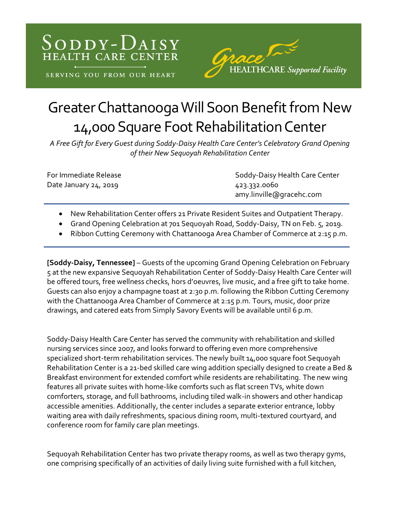



## Greater Chattanooga Will Soon Benefit from New 14,000 Square Foot Rehabilitation Center

*A Free Gift for Every Guest during Soddy-Daisy Health Care Center's Celebratory Grand Opening of their New Sequoyah Rehabilitation Center*

Date January 24, 2019 423.332.0060

For Immediate Release Soddy-Daisy Health Care Center amy.linville@gracehc.com

- New Rehabilitation Center offers 21 Private Resident Suites and Outpatient Therapy.
- Grand Opening Celebration at 701 Sequoyah Road, Soddy-Daisy, TN on Feb. 5, 2019.
- Ribbon Cutting Ceremony with Chattanooga Area Chamber of Commerce at 2:15 p.m.

**[Soddy-Daisy, Tennessee]** – Guests of the upcoming Grand Opening Celebration on February 5 at the new expansive Sequoyah Rehabilitation Center of Soddy-Daisy Health Care Center will be offered tours, free wellness checks, hors d'oeuvres, live music, and a free gift to take home. Guests can also enjoy a champagne toast at 2:30 p.m. following the Ribbon Cutting Ceremony with the Chattanooga Area Chamber of Commerce at 2:15 p.m. Tours, music, door prize drawings, and catered eats from Simply Savory Events will be available until 6 p.m.

Soddy-Daisy Health Care Center has served the community with rehabilitation and skilled nursing services since 2007, and looks forward to offering even more comprehensive specialized short-term rehabilitation services. The newly built 14,000 square foot Sequoyah Rehabilitation Center is a 21-bed skilled care wing addition specially designed to create a Bed & Breakfast environment for extended comfort while residents are rehabilitating. The new wing features all private suites with home-like comforts such as flat screen TVs, white down comforters, storage, and full bathrooms, including tiled walk-in showers and other handicap accessible amenities. Additionally, the center includes a separate exterior entrance, lobby waiting area with daily refreshments, spacious dining room, multi-textured courtyard, and conference room for family care plan meetings.

Sequoyah Rehabilitation Center has two private therapy rooms, as well as two therapy gyms, one comprising specifically of an activities of daily living suite furnished with a full kitchen,